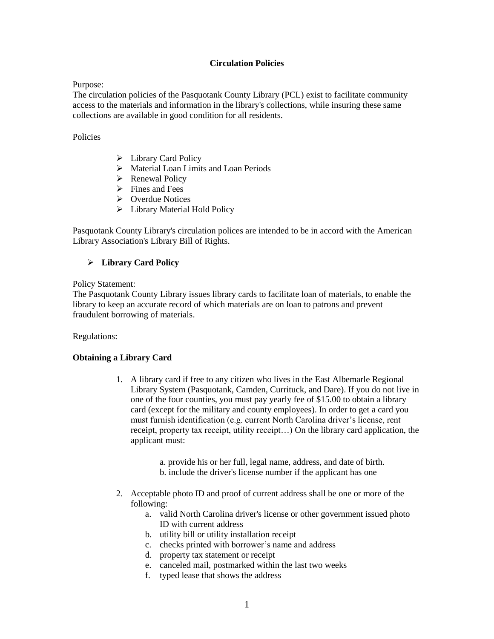#### **Circulation Policies**

#### Purpose:

The circulation policies of the Pasquotank County Library (PCL) exist to facilitate community access to the materials and information in the library's collections, while insuring these same collections are available in good condition for all residents.

### Policies

- $\blacktriangleright$  Library Card Policy
- > Material Loan Limits and Loan Periods
- $\triangleright$  Renewal Policy
- $\triangleright$  Fines and Fees
- ▶ Overdue Notices
- $\blacktriangleright$  Library Material Hold Policy

Pasquotank County Library's circulation polices are intended to be in accord with the American Library Association's Library Bill of Rights.

## **Library Card Policy**

Policy Statement:

The Pasquotank County Library issues library cards to facilitate loan of materials, to enable the library to keep an accurate record of which materials are on loan to patrons and prevent fraudulent borrowing of materials.

Regulations:

## **Obtaining a Library Card**

- 1. A library card if free to any citizen who lives in the East Albemarle Regional Library System (Pasquotank, Camden, Currituck, and Dare). If you do not live in one of the four counties, you must pay yearly fee of \$15.00 to obtain a library card (except for the military and county employees). In order to get a card you must furnish identification (e.g. current North Carolina driver's license, rent receipt, property tax receipt, utility receipt…) On the library card application, the applicant must:
	- a. provide his or her full, legal name, address, and date of birth.
	- b. include the driver's license number if the applicant has one
- 2. Acceptable photo ID and proof of current address shall be one or more of the following:
	- a. valid North Carolina driver's license or other government issued photo ID with current address
	- b. utility bill or utility installation receipt
	- c. checks printed with borrower's name and address
	- d. property tax statement or receipt
	- e. canceled mail, postmarked within the last two weeks
	- f. typed lease that shows the address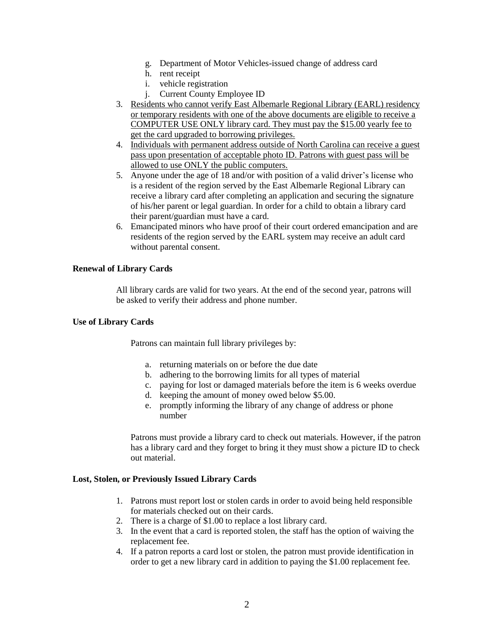- g. Department of Motor Vehicles-issued change of address card
- h. rent receipt
- i. vehicle registration
- j. Current County Employee ID
- 3. Residents who cannot verify East Albemarle Regional Library (EARL) residency or temporary residents with one of the above documents are eligible to receive a COMPUTER USE ONLY library card. They must pay the \$15.00 yearly fee to get the card upgraded to borrowing privileges.
- 4. Individuals with permanent address outside of North Carolina can receive a guest pass upon presentation of acceptable photo ID. Patrons with guest pass will be allowed to use ONLY the public computers.
- 5. Anyone under the age of 18 and/or with position of a valid driver's license who is a resident of the region served by the East Albemarle Regional Library can receive a library card after completing an application and securing the signature of his/her parent or legal guardian. In order for a child to obtain a library card their parent/guardian must have a card.
- 6. Emancipated minors who have proof of their court ordered emancipation and are residents of the region served by the EARL system may receive an adult card without parental consent.

## **Renewal of Library Cards**

All library cards are valid for two years. At the end of the second year, patrons will be asked to verify their address and phone number.

## **Use of Library Cards**

Patrons can maintain full library privileges by:

- a. returning materials on or before the due date
- b. adhering to the borrowing limits for all types of material
- c. paying for lost or damaged materials before the item is 6 weeks overdue
- d. keeping the amount of money owed below \$5.00.
- e. promptly informing the library of any change of address or phone number

Patrons must provide a library card to check out materials. However, if the patron has a library card and they forget to bring it they must show a picture ID to check out material.

## **Lost, Stolen, or Previously Issued Library Cards**

- 1. Patrons must report lost or stolen cards in order to avoid being held responsible for materials checked out on their cards.
- 2. There is a charge of \$1.00 to replace a lost library card.
- 3. In the event that a card is reported stolen, the staff has the option of waiving the replacement fee.
- 4. If a patron reports a card lost or stolen, the patron must provide identification in order to get a new library card in addition to paying the \$1.00 replacement fee.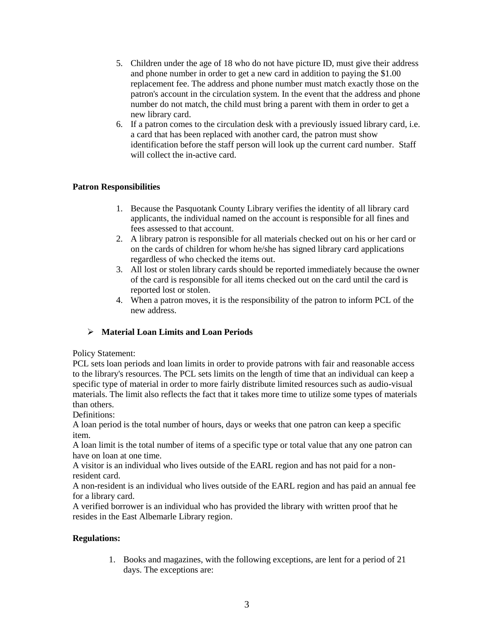- 5. Children under the age of 18 who do not have picture ID, must give their address and phone number in order to get a new card in addition to paying the \$1.00 replacement fee. The address and phone number must match exactly those on the patron's account in the circulation system. In the event that the address and phone number do not match, the child must bring a parent with them in order to get a new library card.
- 6. If a patron comes to the circulation desk with a previously issued library card, i.e. a card that has been replaced with another card, the patron must show identification before the staff person will look up the current card number. Staff will collect the in-active card.

# **Patron Responsibilities**

- 1. Because the Pasquotank County Library verifies the identity of all library card applicants, the individual named on the account is responsible for all fines and fees assessed to that account.
- 2. A library patron is responsible for all materials checked out on his or her card or on the cards of children for whom he/she has signed library card applications regardless of who checked the items out.
- 3. All lost or stolen library cards should be reported immediately because the owner of the card is responsible for all items checked out on the card until the card is reported lost or stolen.
- 4. When a patron moves, it is the responsibility of the patron to inform PCL of the new address.

# **Material Loan Limits and Loan Periods**

# Policy Statement:

PCL sets loan periods and loan limits in order to provide patrons with fair and reasonable access to the library's resources. The PCL sets limits on the length of time that an individual can keep a specific type of material in order to more fairly distribute limited resources such as audio-visual materials. The limit also reflects the fact that it takes more time to utilize some types of materials than others.

Definitions:

A loan period is the total number of hours, days or weeks that one patron can keep a specific item.

A loan limit is the total number of items of a specific type or total value that any one patron can have on loan at one time.

A visitor is an individual who lives outside of the EARL region and has not paid for a nonresident card.

A non-resident is an individual who lives outside of the EARL region and has paid an annual fee for a library card.

A verified borrower is an individual who has provided the library with written proof that he resides in the East Albemarle Library region.

# **Regulations:**

1. Books and magazines, with the following exceptions, are lent for a period of 21 days. The exceptions are: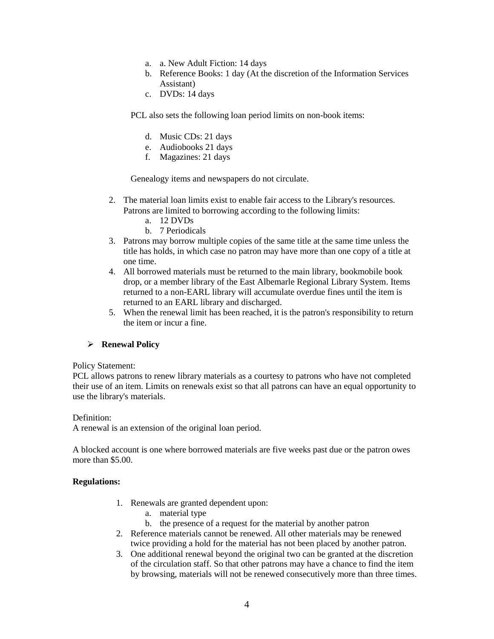- a. a. New Adult Fiction: 14 days
- b. Reference Books: 1 day (At the discretion of the Information Services Assistant)
- c. DVDs: 14 days

PCL also sets the following loan period limits on non-book items:

- d. Music CDs: 21 days
- e. Audiobooks 21 days
- f. Magazines: 21 days

Genealogy items and newspapers do not circulate.

- 2. The material loan limits exist to enable fair access to the Library's resources. Patrons are limited to borrowing according to the following limits:
	- a. 12 DVDs
	- b. 7 Periodicals
- 3. Patrons may borrow multiple copies of the same title at the same time unless the title has holds, in which case no patron may have more than one copy of a title at one time.
- 4. All borrowed materials must be returned to the main library, bookmobile book drop, or a member library of the East Albemarle Regional Library System. Items returned to a non-EARL library will accumulate overdue fines until the item is returned to an EARL library and discharged.
- 5. When the renewal limit has been reached, it is the patron's responsibility to return the item or incur a fine.

#### **Renewal Policy**

#### Policy Statement:

PCL allows patrons to renew library materials as a courtesy to patrons who have not completed their use of an item. Limits on renewals exist so that all patrons can have an equal opportunity to use the library's materials.

Definition:

A renewal is an extension of the original loan period.

A blocked account is one where borrowed materials are five weeks past due or the patron owes more than \$5.00.

#### **Regulations:**

- 1. Renewals are granted dependent upon:
	- a. material type
	- b. the presence of a request for the material by another patron
- 2. Reference materials cannot be renewed. All other materials may be renewed twice providing a hold for the material has not been placed by another patron.
- 3. One additional renewal beyond the original two can be granted at the discretion of the circulation staff. So that other patrons may have a chance to find the item by browsing, materials will not be renewed consecutively more than three times.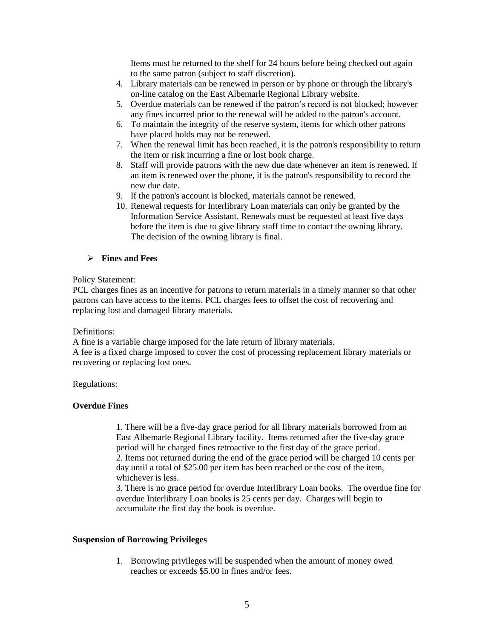Items must be returned to the shelf for 24 hours before being checked out again to the same patron (subject to staff discretion).

- 4. Library materials can be renewed in person or by phone or through the library's on-line catalog on the East Albemarle Regional Library website.
- 5. Overdue materials can be renewed if the patron's record is not blocked; however any fines incurred prior to the renewal will be added to the patron's account.
- 6. To maintain the integrity of the reserve system, items for which other patrons have placed holds may not be renewed.
- 7. When the renewal limit has been reached, it is the patron's responsibility to return the item or risk incurring a fine or lost book charge.
- 8. Staff will provide patrons with the new due date whenever an item is renewed. If an item is renewed over the phone, it is the patron's responsibility to record the new due date.
- 9. If the patron's account is blocked, materials cannot be renewed.
- 10. Renewal requests for Interlibrary Loan materials can only be granted by the Information Service Assistant. Renewals must be requested at least five days before the item is due to give library staff time to contact the owning library. The decision of the owning library is final.

## **Fines and Fees**

#### Policy Statement:

PCL charges fines as an incentive for patrons to return materials in a timely manner so that other patrons can have access to the items. PCL charges fees to offset the cost of recovering and replacing lost and damaged library materials.

#### Definitions:

A fine is a variable charge imposed for the late return of library materials.

A fee is a fixed charge imposed to cover the cost of processing replacement library materials or recovering or replacing lost ones.

## Regulations:

## **Overdue Fines**

1. There will be a five-day grace period for all library materials borrowed from an East Albemarle Regional Library facility. Items returned after the five-day grace period will be charged fines retroactive to the first day of the grace period. 2. Items not returned during the end of the grace period will be charged 10 cents per

day until a total of \$25.00 per item has been reached or the cost of the item, whichever is less.

3. There is no grace period for overdue Interlibrary Loan books. The overdue fine for overdue Interlibrary Loan books is 25 cents per day. Charges will begin to accumulate the first day the book is overdue.

## **Suspension of Borrowing Privileges**

1. Borrowing privileges will be suspended when the amount of money owed reaches or exceeds \$5.00 in fines and/or fees.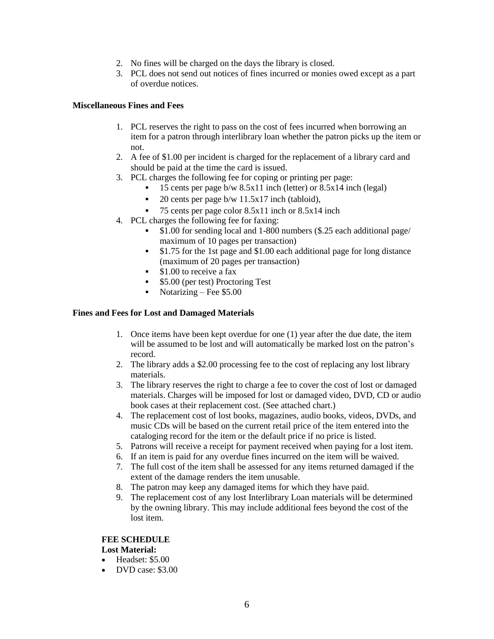- 2. No fines will be charged on the days the library is closed.
- 3. PCL does not send out notices of fines incurred or monies owed except as a part of overdue notices.

### **Miscellaneous Fines and Fees**

- 1. PCL reserves the right to pass on the cost of fees incurred when borrowing an item for a patron through interlibrary loan whether the patron picks up the item or not.
- 2. A fee of \$1.00 per incident is charged for the replacement of a library card and should be paid at the time the card is issued.
- 3. PCL charges the following fee for coping or printing per page:
	- $\blacksquare$  15 cents per page b/w 8.5x11 inch (letter) or 8.5x14 inch (legal)
	- 20 cents per page b/w 11.5x17 inch (tabloid),
	- $\blacksquare$  75 cents per page color 8.5x11 inch or 8.5x14 inch
- 4. PCL charges the following fee for faxing:
	- \$1.00 for sending local and 1-800 numbers (\$.25 each additional page/ maximum of 10 pages per transaction)
	- $\bullet$  \$1.75 for the 1st page and \$1.00 each additional page for long distance (maximum of 20 pages per transaction)
	- $\bullet$  \$1.00 to receive a fax
	- **5.00** (per test) Proctoring Test
	- Notarizing Fee  $$5.00$

## **Fines and Fees for Lost and Damaged Materials**

- 1. Once items have been kept overdue for one (1) year after the due date, the item will be assumed to be lost and will automatically be marked lost on the patron's record.
- 2. The library adds a \$2.00 processing fee to the cost of replacing any lost library materials.
- 3. The library reserves the right to charge a fee to cover the cost of lost or damaged materials. Charges will be imposed for lost or damaged video, DVD, CD or audio book cases at their replacement cost. (See attached chart.)
- 4. The replacement cost of lost books, magazines, audio books, videos, DVDs, and music CDs will be based on the current retail price of the item entered into the cataloging record for the item or the default price if no price is listed.
- 5. Patrons will receive a receipt for payment received when paying for a lost item.
- 6. If an item is paid for any overdue fines incurred on the item will be waived.
- 7. The full cost of the item shall be assessed for any items returned damaged if the extent of the damage renders the item unusable.
- 8. The patron may keep any damaged items for which they have paid.
- 9. The replacement cost of any lost Interlibrary Loan materials will be determined by the owning library. This may include additional fees beyond the cost of the lost item.

## **FEE SCHEDULE**

## **Lost Material:**

- Headset: \$5.00
- $\bullet$  DVD case: \$3.00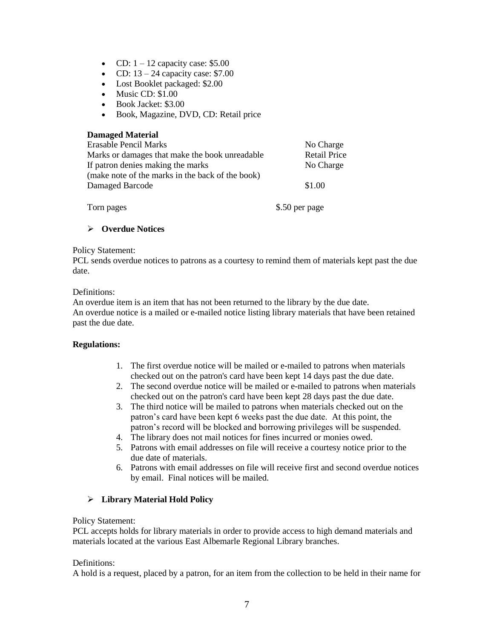- CD:  $1 12$  capacity case: \$5.00
- CD:  $13 24$  capacity case: \$7.00
- Lost Booklet packaged: \$2.00
- $\bullet$  Music CD:  $$1.00$
- Book Jacket: \$3.00
- Book, Magazine, DVD, CD: Retail price

| <b>Damaged Material</b>                          |                     |
|--------------------------------------------------|---------------------|
| Erasable Pencil Marks                            | No Charge           |
| Marks or damages that make the book unreadable   | <b>Retail Price</b> |
| If patron denies making the marks                | No Charge           |
| (make note of the marks in the back of the book) |                     |
| Damaged Barcode                                  | \$1.00              |
|                                                  |                     |
| Torn pages                                       | \$.50 per page      |

# **Overdue Notices**

#### Policy Statement:

PCL sends overdue notices to patrons as a courtesy to remind them of materials kept past the due date.

## Definitions:

An overdue item is an item that has not been returned to the library by the due date. An overdue notice is a mailed or e-mailed notice listing library materials that have been retained past the due date.

## **Regulations:**

- 1. The first overdue notice will be mailed or e-mailed to patrons when materials checked out on the patron's card have been kept 14 days past the due date.
- 2. The second overdue notice will be mailed or e-mailed to patrons when materials checked out on the patron's card have been kept 28 days past the due date.
- 3. The third notice will be mailed to patrons when materials checked out on the patron's card have been kept 6 weeks past the due date. At this point, the patron's record will be blocked and borrowing privileges will be suspended.
- 4. The library does not mail notices for fines incurred or monies owed.
- 5. Patrons with email addresses on file will receive a courtesy notice prior to the due date of materials.
- 6. Patrons with email addresses on file will receive first and second overdue notices by email. Final notices will be mailed.

# **Library Material Hold Policy**

## Policy Statement:

PCL accepts holds for library materials in order to provide access to high demand materials and materials located at the various East Albemarle Regional Library branches.

## Definitions:

A hold is a request, placed by a patron, for an item from the collection to be held in their name for